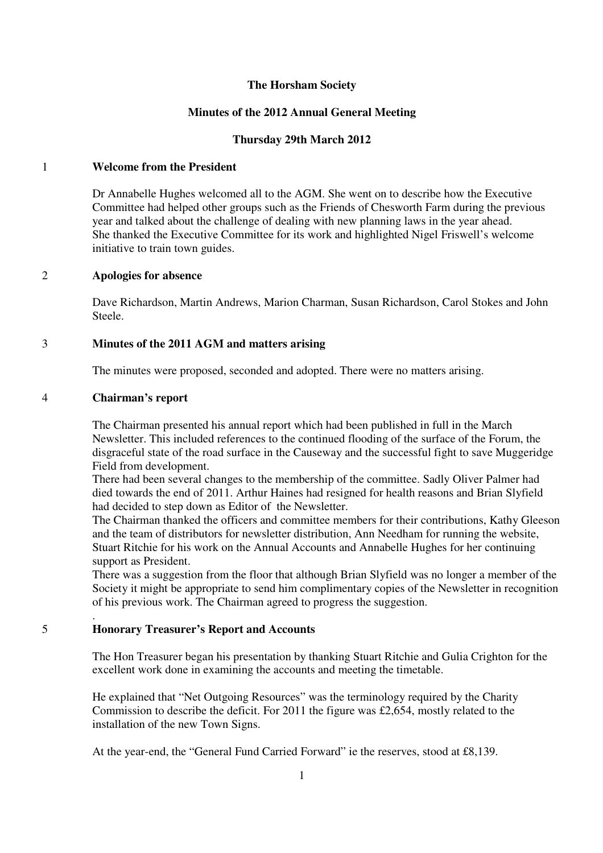## **The Horsham Society**

## **Minutes of the 2012 Annual General Meeting**

## **Thursday 29th March 2012**

# 1 **Welcome from the President**

Dr Annabelle Hughes welcomed all to the AGM. She went on to describe how the Executive Committee had helped other groups such as the Friends of Chesworth Farm during the previous year and talked about the challenge of dealing with new planning laws in the year ahead. She thanked the Executive Committee for its work and highlighted Nigel Friswell's welcome initiative to train town guides.

## 2 **Apologies for absence**

Dave Richardson, Martin Andrews, Marion Charman, Susan Richardson, Carol Stokes and John Steele.

## 3 **Minutes of the 2011 AGM and matters arising**

The minutes were proposed, seconded and adopted. There were no matters arising.

### 4 **Chairman's report**

.

The Chairman presented his annual report which had been published in full in the March Newsletter. This included references to the continued flooding of the surface of the Forum, the disgraceful state of the road surface in the Causeway and the successful fight to save Muggeridge Field from development.

There had been several changes to the membership of the committee. Sadly Oliver Palmer had died towards the end of 2011. Arthur Haines had resigned for health reasons and Brian Slyfield had decided to step down as Editor of the Newsletter.

The Chairman thanked the officers and committee members for their contributions, Kathy Gleeson and the team of distributors for newsletter distribution, Ann Needham for running the website, Stuart Ritchie for his work on the Annual Accounts and Annabelle Hughes for her continuing support as President.

There was a suggestion from the floor that although Brian Slyfield was no longer a member of the Society it might be appropriate to send him complimentary copies of the Newsletter in recognition of his previous work. The Chairman agreed to progress the suggestion.

## 5 **Honorary Treasurer's Report and Accounts**

The Hon Treasurer began his presentation by thanking Stuart Ritchie and Gulia Crighton for the excellent work done in examining the accounts and meeting the timetable.

He explained that "Net Outgoing Resources" was the terminology required by the Charity Commission to describe the deficit. For 2011 the figure was £2,654, mostly related to the installation of the new Town Signs.

At the year-end, the "General Fund Carried Forward" ie the reserves, stood at £8,139.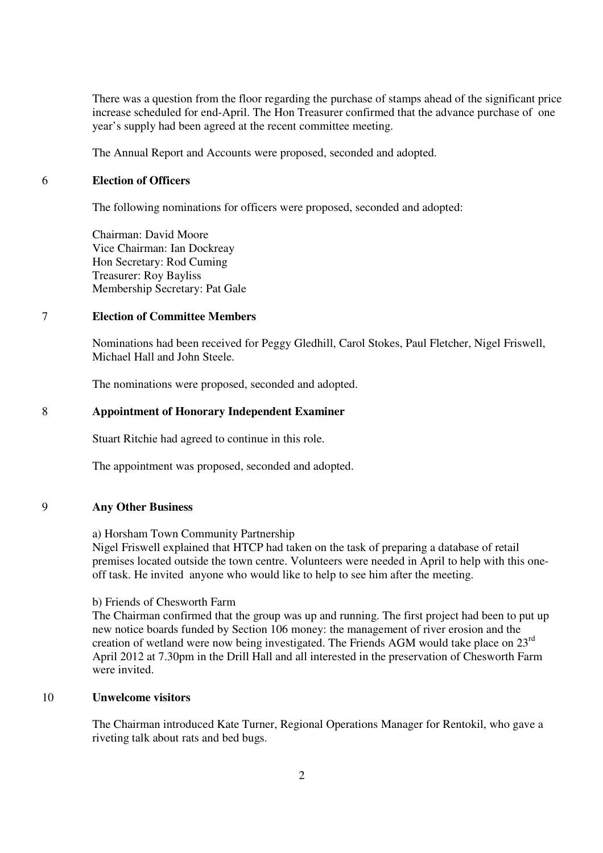There was a question from the floor regarding the purchase of stamps ahead of the significant price increase scheduled for end-April. The Hon Treasurer confirmed that the advance purchase of one year's supply had been agreed at the recent committee meeting.

The Annual Report and Accounts were proposed, seconded and adopted.

#### 6 **Election of Officers**

The following nominations for officers were proposed, seconded and adopted:

Chairman: David Moore Vice Chairman: Ian Dockreay Hon Secretary: Rod Cuming Treasurer: Roy Bayliss Membership Secretary: Pat Gale

## 7 **Election of Committee Members**

Nominations had been received for Peggy Gledhill, Carol Stokes, Paul Fletcher, Nigel Friswell, Michael Hall and John Steele.

The nominations were proposed, seconded and adopted.

### 8 **Appointment of Honorary Independent Examiner**

Stuart Ritchie had agreed to continue in this role.

The appointment was proposed, seconded and adopted.

#### 9 **Any Other Business**

a) Horsham Town Community Partnership

Nigel Friswell explained that HTCP had taken on the task of preparing a database of retail premises located outside the town centre. Volunteers were needed in April to help with this oneoff task. He invited anyone who would like to help to see him after the meeting.

#### b) Friends of Chesworth Farm

The Chairman confirmed that the group was up and running. The first project had been to put up new notice boards funded by Section 106 money: the management of river erosion and the creation of wetland were now being investigated. The Friends AGM would take place on 23rd April 2012 at 7.30pm in the Drill Hall and all interested in the preservation of Chesworth Farm were invited.

### 10 **Unwelcome visitors**

The Chairman introduced Kate Turner, Regional Operations Manager for Rentokil, who gave a riveting talk about rats and bed bugs.